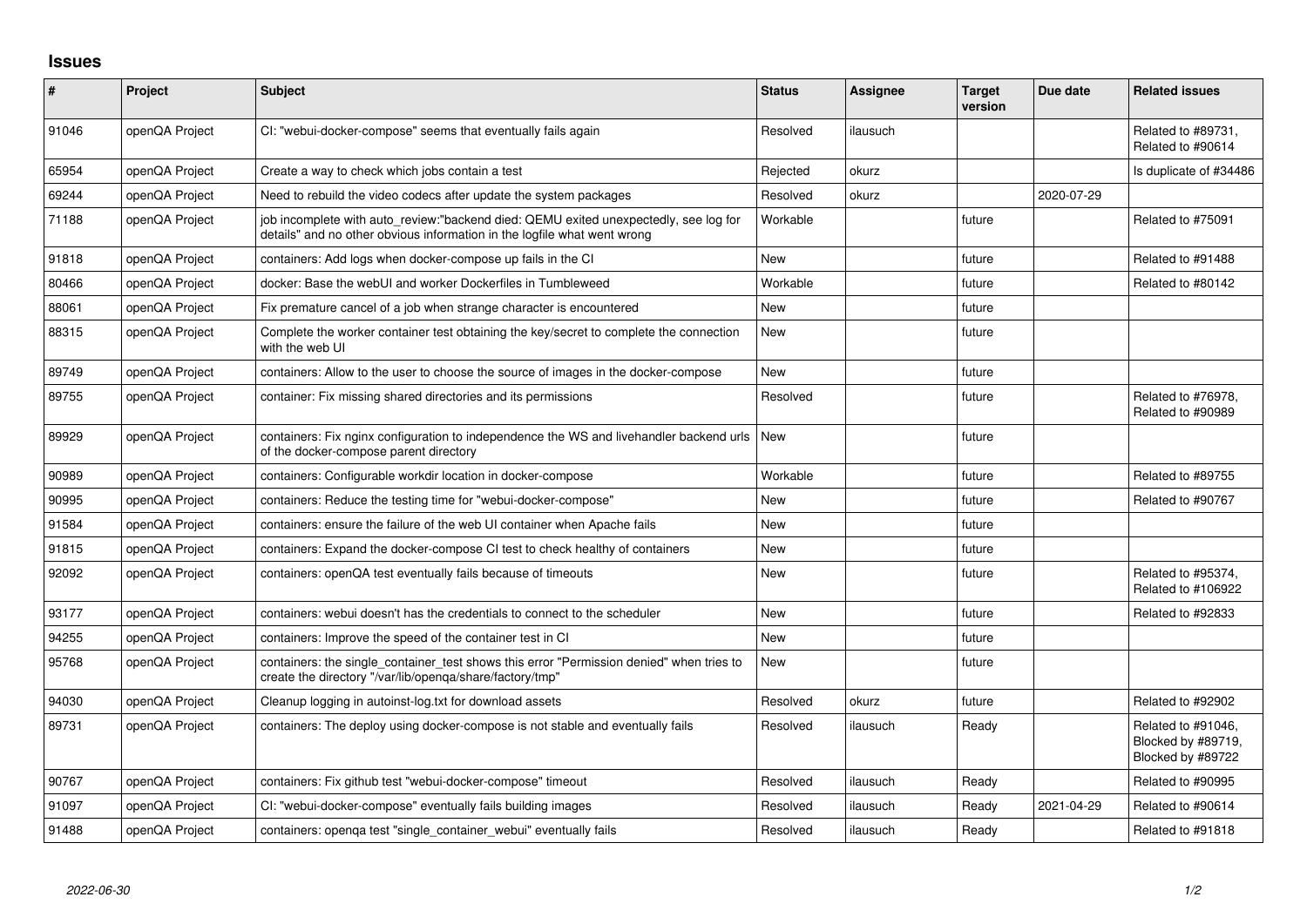## **Issues**

| #     | Project        | Subject                                                                                                                                                          | <b>Status</b> | <b>Assignee</b> | <b>Target</b><br>version | Due date   | <b>Related issues</b>                                         |
|-------|----------------|------------------------------------------------------------------------------------------------------------------------------------------------------------------|---------------|-----------------|--------------------------|------------|---------------------------------------------------------------|
| 91046 | openQA Project | CI: "webui-docker-compose" seems that eventually fails again                                                                                                     | Resolved      | ilausuch        |                          |            | Related to #89731,<br>Related to #90614                       |
| 65954 | openQA Project | Create a way to check which jobs contain a test                                                                                                                  | Rejected      | okurz           |                          |            | Is duplicate of #34486                                        |
| 69244 | openQA Project | Need to rebuild the video codecs after update the system packages                                                                                                | Resolved      | okurz           |                          | 2020-07-29 |                                                               |
| 71188 | openQA Project | job incomplete with auto_review:"backend died: QEMU exited unexpectedly, see log for<br>details" and no other obvious information in the logfile what went wrong | Workable      |                 | future                   |            | Related to #75091                                             |
| 91818 | openQA Project | containers: Add logs when docker-compose up fails in the CI                                                                                                      | <b>New</b>    |                 | future                   |            | Related to #91488                                             |
| 80466 | openQA Project | docker: Base the webUI and worker Dockerfiles in Tumbleweed                                                                                                      | Workable      |                 | future                   |            | Related to #80142                                             |
| 88061 | openQA Project | Fix premature cancel of a job when strange character is encountered                                                                                              | <b>New</b>    |                 | future                   |            |                                                               |
| 88315 | openQA Project | Complete the worker container test obtaining the key/secret to complete the connection<br>with the web UI                                                        | <b>New</b>    |                 | future                   |            |                                                               |
| 89749 | openQA Project | containers: Allow to the user to choose the source of images in the docker-compose                                                                               | <b>New</b>    |                 | future                   |            |                                                               |
| 89755 | openQA Project | container: Fix missing shared directories and its permissions                                                                                                    | Resolved      |                 | future                   |            | Related to #76978.<br>Related to #90989                       |
| 89929 | openQA Project | containers: Fix nginx configuration to independence the WS and livehandler backend urls<br>of the docker-compose parent directory                                | <b>New</b>    |                 | future                   |            |                                                               |
| 90989 | openQA Project | containers: Configurable workdir location in docker-compose                                                                                                      | Workable      |                 | future                   |            | Related to #89755                                             |
| 90995 | openQA Project | containers: Reduce the testing time for "webui-docker-compose"                                                                                                   | <b>New</b>    |                 | future                   |            | Related to #90767                                             |
| 91584 | openQA Project | containers: ensure the failure of the web UI container when Apache fails                                                                                         | <b>New</b>    |                 | future                   |            |                                                               |
| 91815 | openQA Project | containers: Expand the docker-compose CI test to check healthy of containers                                                                                     | <b>New</b>    |                 | future                   |            |                                                               |
| 92092 | openQA Project | containers: openQA test eventually fails because of timeouts                                                                                                     | <b>New</b>    |                 | future                   |            | Related to #95374,<br>Related to #106922                      |
| 93177 | openQA Project | containers: webui doesn't has the credentials to connect to the scheduler                                                                                        | <b>New</b>    |                 | future                   |            | Related to #92833                                             |
| 94255 | openQA Project | containers: Improve the speed of the container test in CI                                                                                                        | <b>New</b>    |                 | future                   |            |                                                               |
| 95768 | openQA Project | containers: the single container test shows this error "Permission denied" when tries to<br>create the directory "/var/lib/openqa/share/factory/tmp"             | <b>New</b>    |                 | future                   |            |                                                               |
| 94030 | openQA Project | Cleanup logging in autoinst-log.txt for download assets                                                                                                          | Resolved      | okurz           | future                   |            | Related to #92902                                             |
| 89731 | openQA Project | containers: The deploy using docker-compose is not stable and eventually fails                                                                                   | Resolved      | ilausuch        | Ready                    |            | Related to #91046,<br>Blocked by #89719,<br>Blocked by #89722 |
| 90767 | openQA Project | containers: Fix github test "webui-docker-compose" timeout                                                                                                       | Resolved      | ilausuch        | Ready                    |            | Related to #90995                                             |
| 91097 | openQA Project | CI: "webui-docker-compose" eventually fails building images                                                                                                      | Resolved      | ilausuch        | Ready                    | 2021-04-29 | Related to #90614                                             |
| 91488 | openQA Project | containers: openqa test "single_container_webui" eventually fails                                                                                                | Resolved      | ilausuch        | Ready                    |            | Related to #91818                                             |